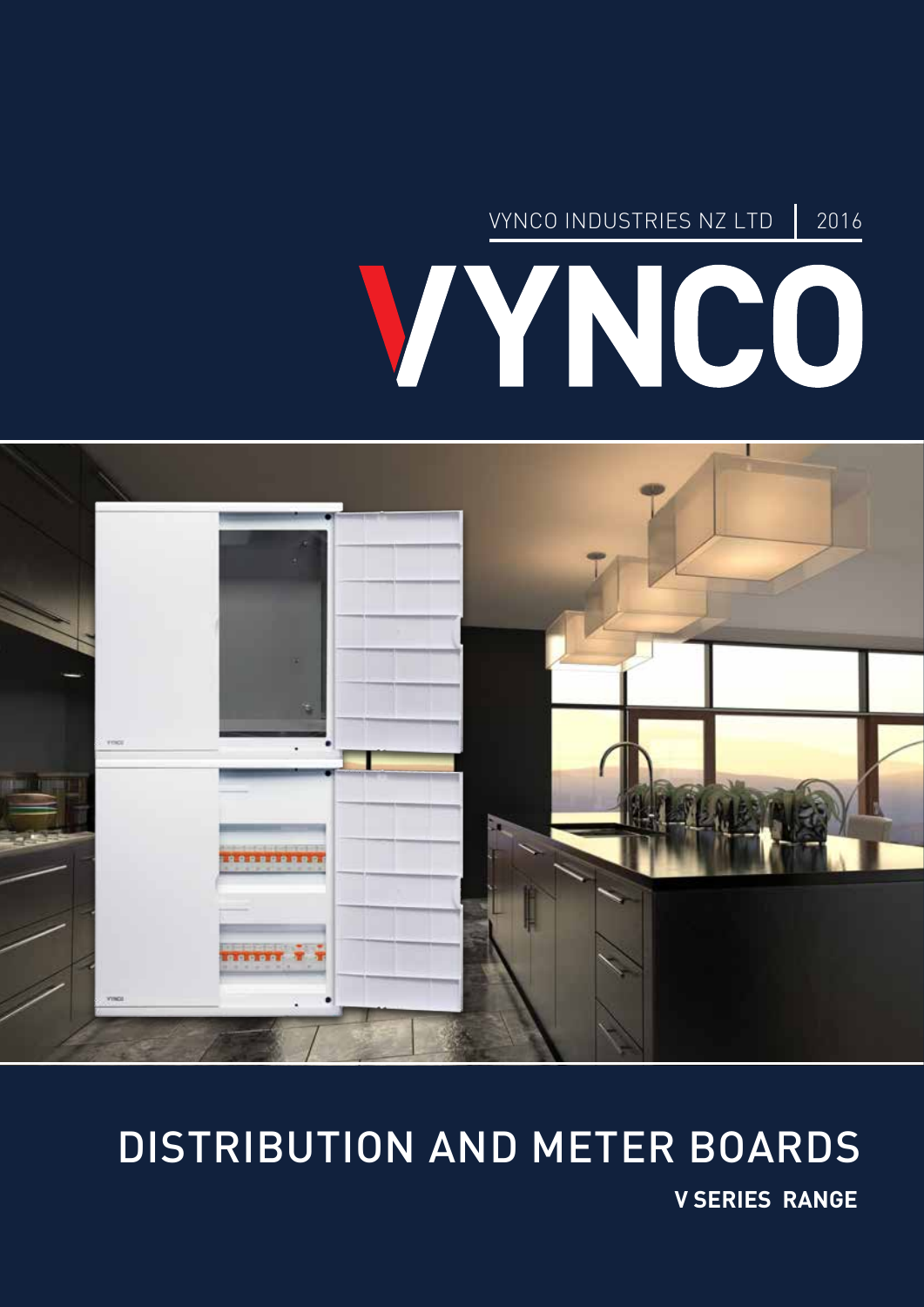## VYNCO INDUSTRIES NZ LTD | 2016

# VYNCO



## DISTRIBUTION AND METER BOARDS **V SERIES RANGE**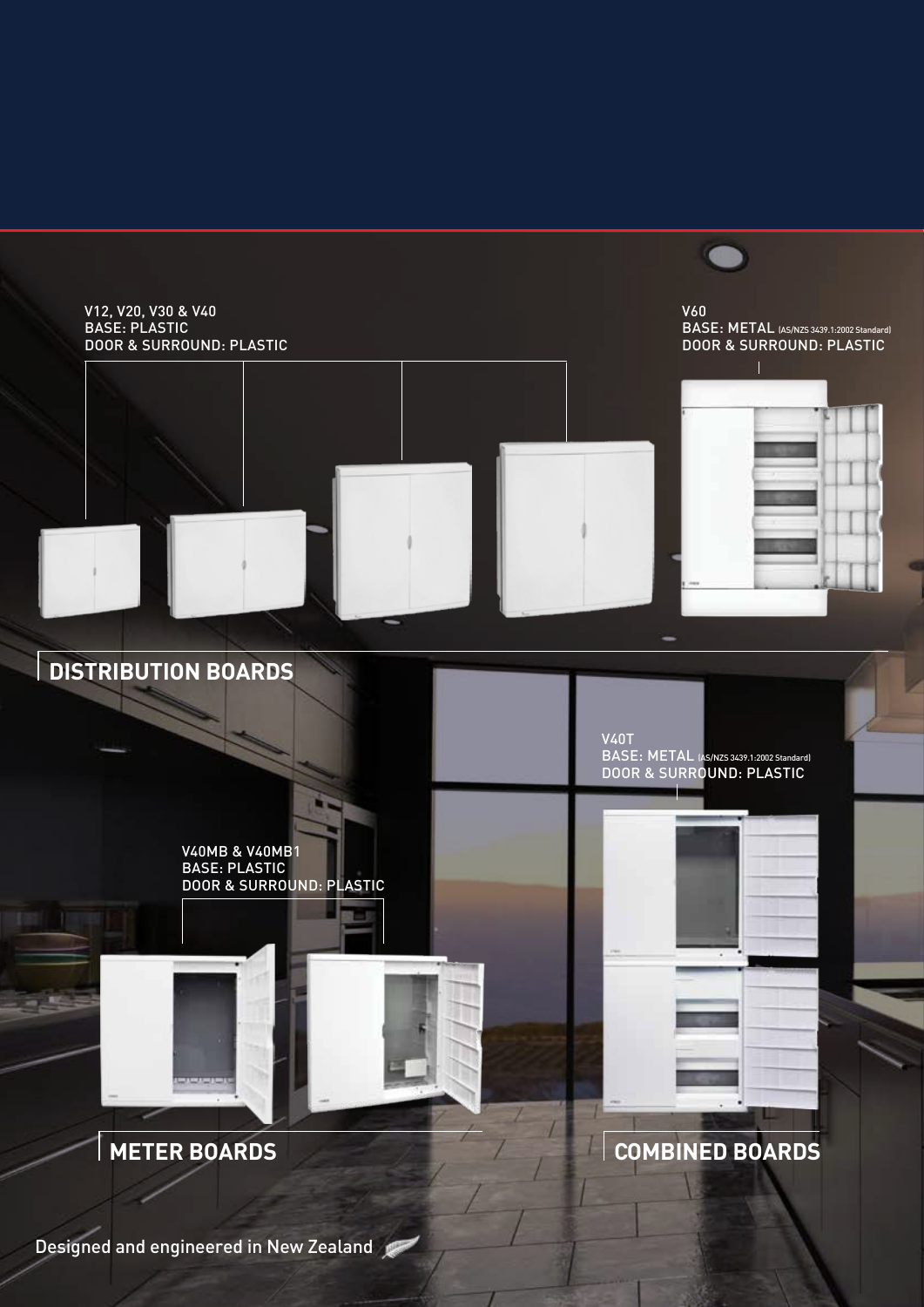

Designed and engineered in New Zealand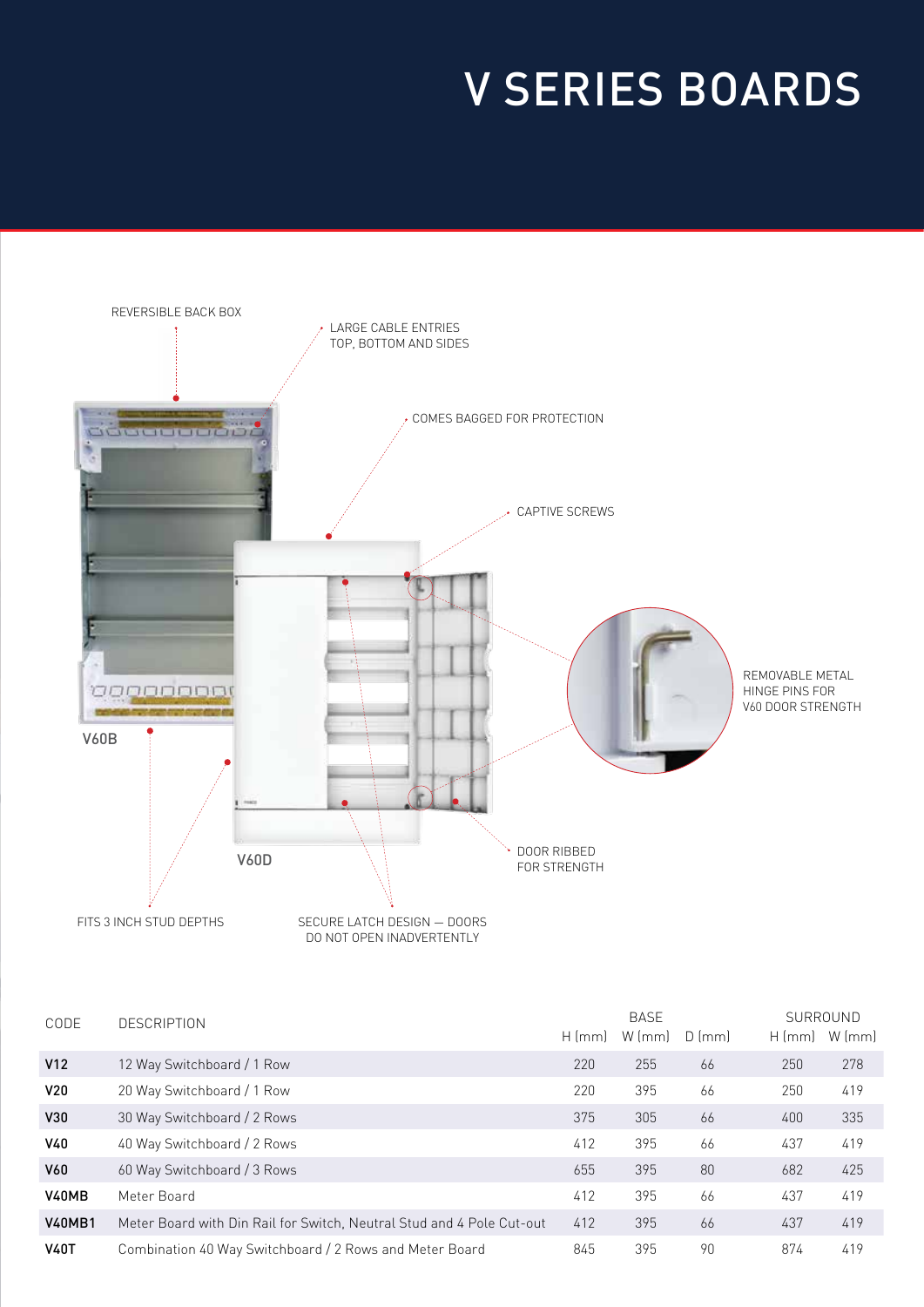# V SERIES BOARDS



| CODE          | <b>DESCRIPTION</b>                                                    | $H$ (mm) | <b>BASE</b><br>W (mm) | $D$ (mm) | SURROUND<br>H (mm) | W (mm) |
|---------------|-----------------------------------------------------------------------|----------|-----------------------|----------|--------------------|--------|
| V12           | 12 Way Switchboard / 1 Row                                            | 220      | 255                   | 66       | 250                | 278    |
| V20           | 20 Way Switchboard / 1 Row                                            | 220      | 395                   | 66       | 250                | 419    |
| V30           | 30 Way Switchboard / 2 Rows                                           | 375      | 305                   | 66       | 400                | 335    |
| V40           | 40 Way Switchboard / 2 Rows                                           | 412      | 395                   | 66       | 437                | 419    |
| V60           | 60 Way Switchboard / 3 Rows                                           | 655      | 395                   | 80       | 682                | 425    |
| V40MB         | Meter Board                                                           | 412      | 395                   | 66       | 437                | 419    |
| <b>V40MB1</b> | Meter Board with Din Rail for Switch, Neutral Stud and 4 Pole Cut-out | 412      | 395                   | 66       | 437                | 419    |
| <b>V40T</b>   | Combination 40 Way Switchboard / 2 Rows and Meter Board               | 845      | 395                   | 90       | 874                | 419    |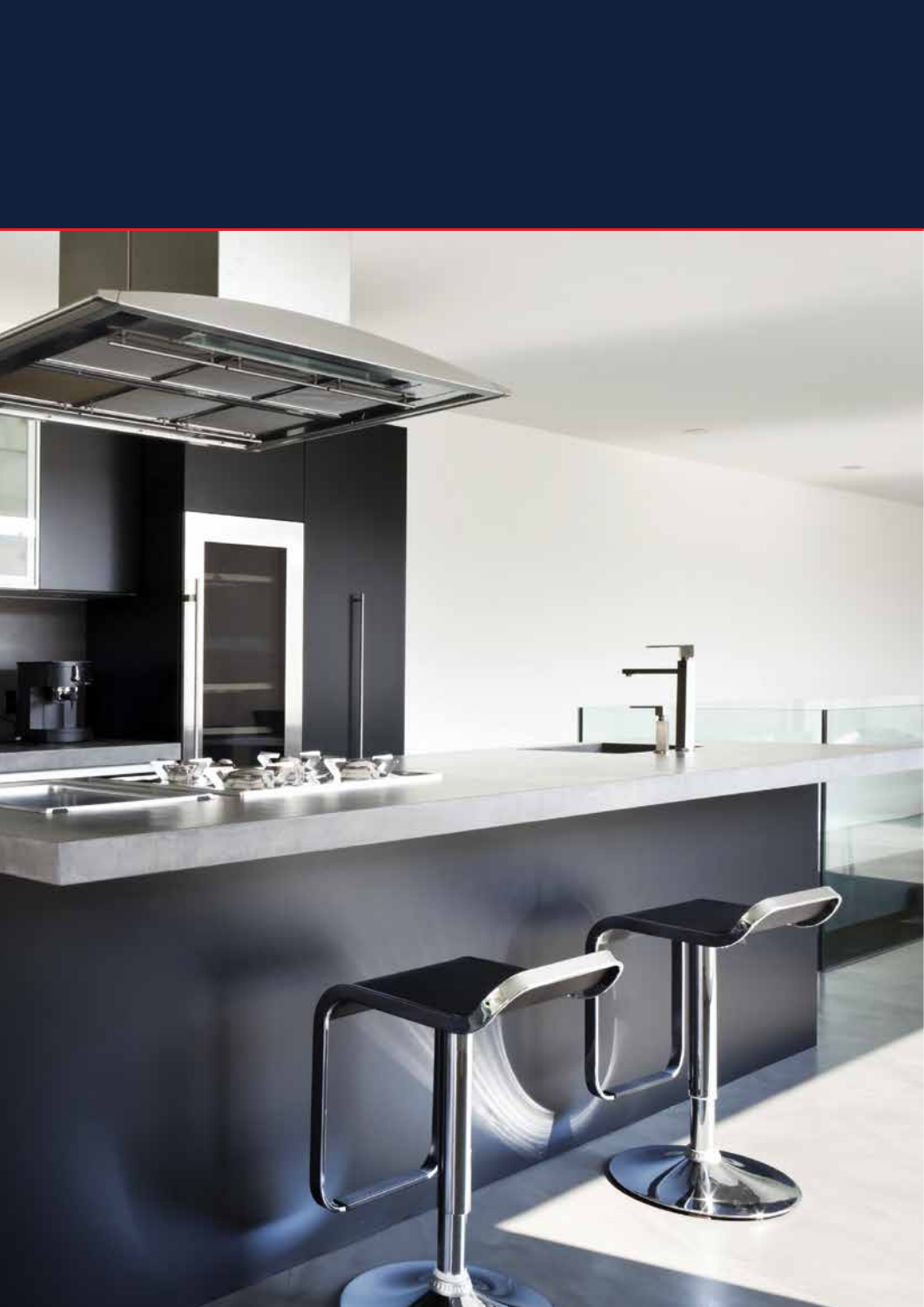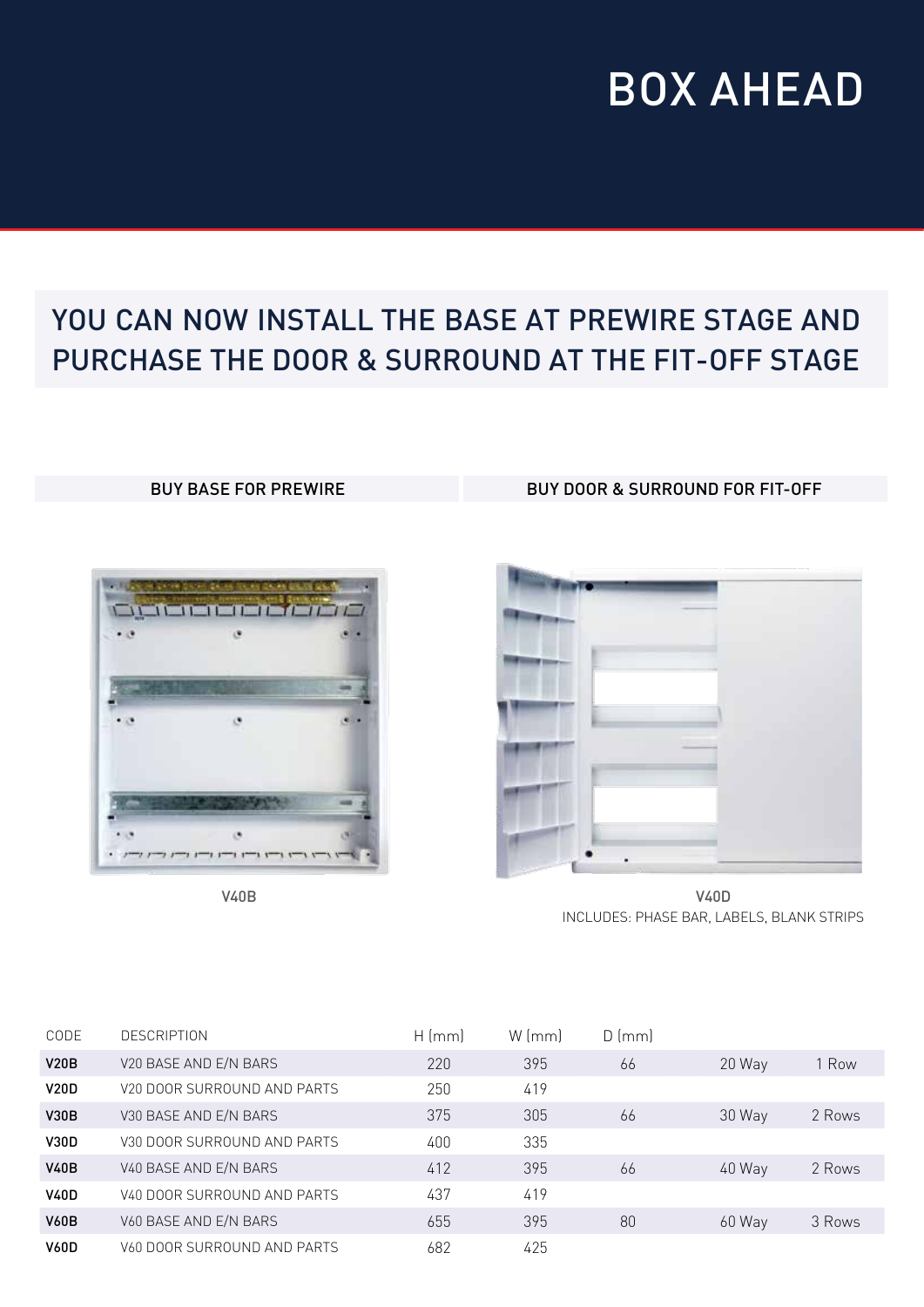## BOX AHEAD

## YOU CAN NOW INSTALL THE BASE AT PREWIRE STAGE AND PURCHASE THE DOOR & SURROUND AT THE FIT-OFF STAGE

### m m m Ä  $\cdot$   $\cdot$  $\alpha$  $\bullet$ o.  $1 - 1$  $\mathbf{r}$  $\rightarrow$

#### BUY BASE FOR PREWIRE BUY DOOR & SURROUND FOR FIT-OFF



V40B V40D INCLUDES: PHASE BAR, LABELS, BLANK STRIPS

| CODE        | <b>DESCRIPTION</b>                      | $H$ (mm) | $W$ (mm) | $D$ (mm) |        |        |
|-------------|-----------------------------------------|----------|----------|----------|--------|--------|
| V20B        | V20 BASE AND E/N BARS                   | 220      | 395      | 66       | 20 Way | 1 Row  |
| <b>V20D</b> | V <sub>20</sub> DOOR SURROUND AND PARTS | 250      | 419      |          |        |        |
| <b>V30B</b> | V30 BASE AND E/N BARS                   | 375      | 305      | 66       | 30 Way | 2 Rows |
| <b>V30D</b> | V <sub>30</sub> DOOR SURROUND AND PARTS | 400      | 335      |          |        |        |
| <b>V40B</b> | V40 BASE AND E/N BARS                   | 412      | 395      | 66       | 40 Way | 2 Rows |
| <b>V40D</b> | V <sub>40</sub> DOOR SURROUND AND PARTS | 437      | 419      |          |        |        |
| <b>V60B</b> | V60 BASE AND E/N BARS                   | 655      | 395      | 80       | 60 Way | 3 Rows |
| <b>V60D</b> | V <sub>60</sub> DOOR SURROUND AND PARTS | 682      | 425      |          |        |        |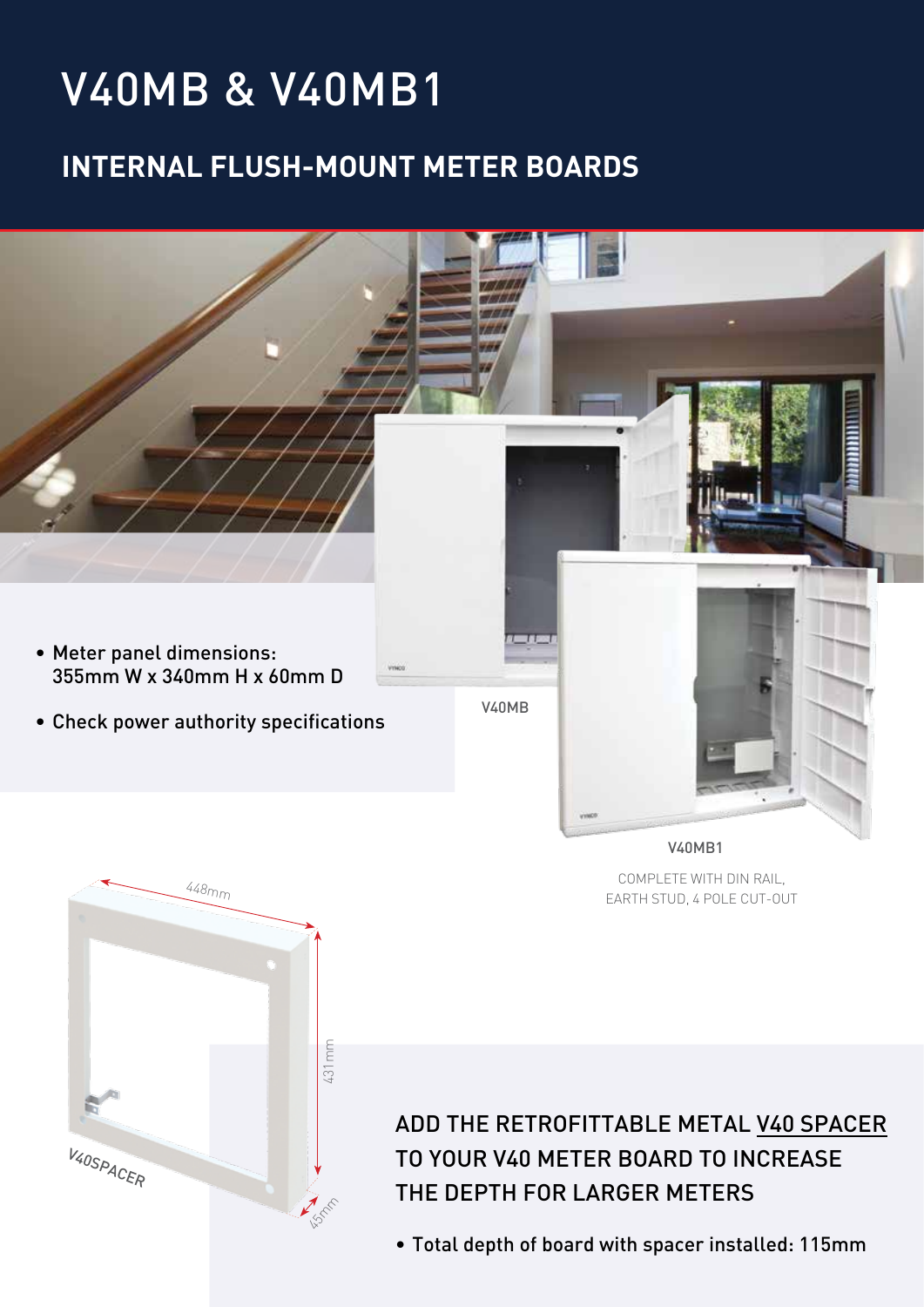# V40MB & V40MB1

### **INTERNAL FLUSH-MOUNT METER BOARDS**



COMPLETE WITH DIN RAIL, ed and the study of the study of the study of the study of the study of the study of the study of the study of the study of the study of the study of the study of the study of the study of the study of the study of the stu



ADD THE RETROFITTABLE METAL V40 SPACER TO YOUR V40 METER BOARD TO INCREASE THE DEPTH FOR LARGER METERS

• Total depth of board with spacer installed: 115mm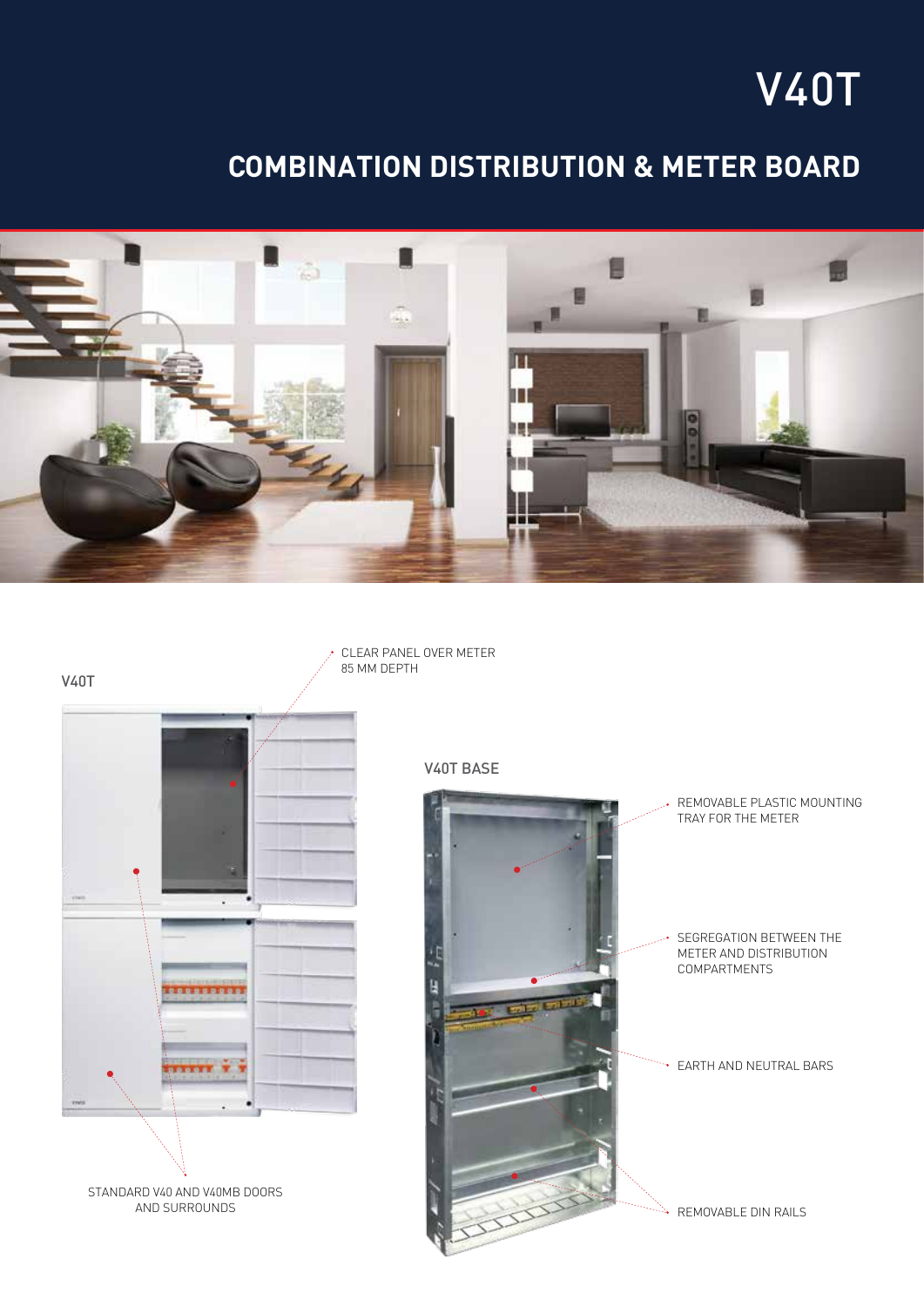## V40T

## **COMBINATION DISTRIBUTION & METER BOARD**



CLEAR PANEL OVER METER 85 MM DEPTH



STANDARD V40 AND V40MB DOORS AND SURROUNDS

V40T BASE